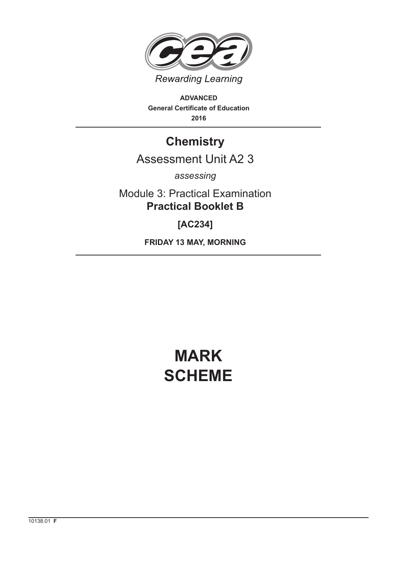

**ADVANCED General Certificate of Education 2016**

## **Chemistry**

### Assessment Unit A2 3

*assessing*

Module 3: Practical Examination **Practical Booklet B**

**[AC234]**

**FRIDAY 13 MAY, MORNING**

# **MARK SCHEME**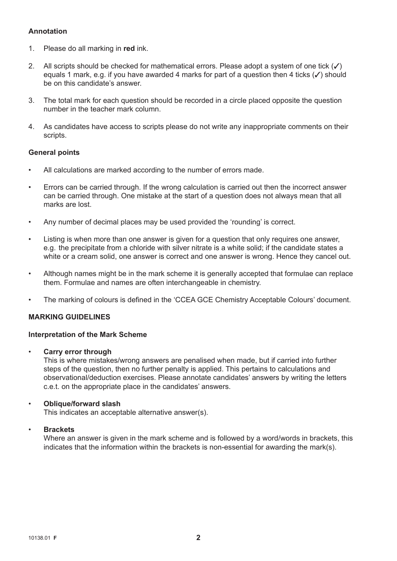#### **Annotation**

- 1. Please do all marking in **red** ink.
- 2. All scripts should be checked for mathematical errors. Please adopt a system of one tick  $(\checkmark)$ equals 1 mark, e.g. if you have awarded 4 marks for part of a question then 4 ticks  $(V)$  should be on this candidate's answer.
- 3. The total mark for each question should be recorded in a circle placed opposite the question number in the teacher mark column.
- 4. As candidates have access to scripts please do not write any inappropriate comments on their scripts.

#### **General points**

- All calculations are marked according to the number of errors made.
- Errors can be carried through. If the wrong calculation is carried out then the incorrect answer can be carried through. One mistake at the start of a question does not always mean that all marks are lost.
- Any number of decimal places may be used provided the 'rounding' is correct.
- Listing is when more than one answer is given for a question that only requires one answer, e.g. the precipitate from a chloride with silver nitrate is a white solid; if the candidate states a white or a cream solid, one answer is correct and one answer is wrong. Hence they cancel out.
- Although names might be in the mark scheme it is generally accepted that formulae can replace them. Formulae and names are often interchangeable in chemistry.
- The marking of colours is defined in the 'CCEA GCE Chemistry Acceptable Colours' document.

#### **MARKING GUIDELINES**

#### **Interpretation of the Mark Scheme**

• **Carry error through**

 This is where mistakes/wrong answers are penalised when made, but if carried into further steps of the question, then no further penalty is applied. This pertains to calculations and observational/deduction exercises. Please annotate candidates' answers by writing the letters c.e.t. on the appropriate place in the candidates' answers.

#### • **Oblique/forward slash**

This indicates an acceptable alternative answer(s).

#### • **Brackets**

 Where an answer is given in the mark scheme and is followed by a word/words in brackets, this indicates that the information within the brackets is non-essential for awarding the mark(s).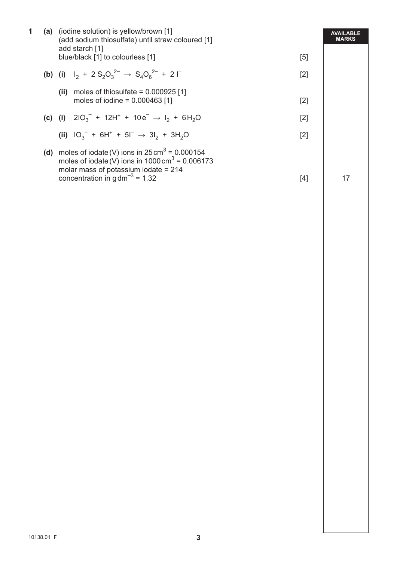| 1 |     | (a) (iodine solution) is yellow/brown [1]<br>(add sodium thiosulfate) until straw coloured [1]                                                                                                                |  |  |
|---|-----|---------------------------------------------------------------------------------------------------------------------------------------------------------------------------------------------------------------|--|--|
|   |     | add starch [1]<br>blue/black [1] to colourless [1]<br>[5]                                                                                                                                                     |  |  |
|   |     | (b) (i) $I_2 + 2 S_2 O_3^{2-} \rightarrow S_4 O_6^{2-} + 2 \Gamma$<br>$[2]$                                                                                                                                   |  |  |
|   |     | (ii) moles of thiosulfate = $0.000925$ [1]<br>moles of iodine = $0.000463$ [1]<br>$[2]$                                                                                                                       |  |  |
|   |     | (c) (i) $210_3^- + 12H^+ + 10e^- \rightarrow I_2 + 6H_2O$<br>$[2]$                                                                                                                                            |  |  |
|   |     | (ii) $10_3^{\circ}$ + 6H <sup>+</sup> + 5I <sup><math>\circ</math></sup> $\rightarrow$ 3I <sub>2</sub> + 3H <sub>2</sub> O<br>$[2]$                                                                           |  |  |
|   | (d) | moles of iodate (V) ions in $25 \text{ cm}^3$ = 0.000154<br>moles of iodate (V) ions in $1000 \text{ cm}^3 = 0.006173$<br>molar mass of potassium iodate = $214$<br>concentration in $gdm^{-3} = 1.32$<br>[4] |  |  |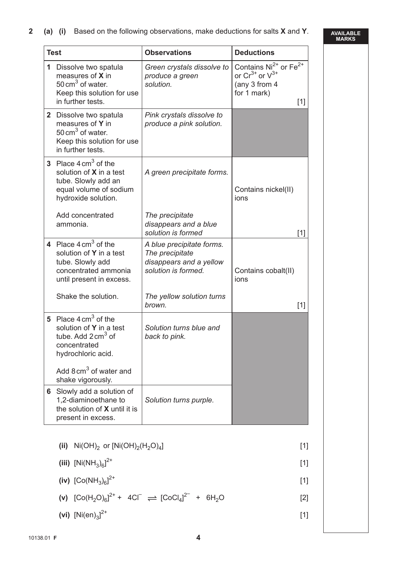|  |  |  | 2 (a) (i) Based on the following observations, make deductions for salts X and Y. |  |  |  |  |  |
|--|--|--|-----------------------------------------------------------------------------------|--|--|--|--|--|
|--|--|--|-----------------------------------------------------------------------------------|--|--|--|--|--|

**AVAILABLE MARKS**

| <b>Test</b> |                                                                                                                                                                        | <b>Observations</b>                                                                            | <b>Deductions</b>                                                                                                  |
|-------------|------------------------------------------------------------------------------------------------------------------------------------------------------------------------|------------------------------------------------------------------------------------------------|--------------------------------------------------------------------------------------------------------------------|
| 1           | Dissolve two spatula<br>measures of X in<br>50 cm <sup>3</sup> of water.<br>Keep this solution for use<br>in further tests.                                            | Green crystals dissolve to<br>produce a green<br>solution.                                     | Contains Ni <sup>2+</sup> or Fe <sup>2+</sup><br>or $Cr^{3+}$ or $V^{3+}$<br>(any 3 from 4<br>for 1 mark)<br>$[1]$ |
|             | 2 Dissolve two spatula<br>measures of Y in<br>50 cm <sup>3</sup> of water.<br>Keep this solution for use<br>in further tests.                                          | Pink crystals dissolve to<br>produce a pink solution.                                          |                                                                                                                    |
|             | 3 Place $4 \text{ cm}^3$ of the<br>solution of <b>X</b> in a test<br>tube. Slowly add an<br>equal volume of sodium<br>hydroxide solution.                              | A green precipitate forms.                                                                     | Contains nickel(II)<br>ions                                                                                        |
|             | Add concentrated<br>ammonia.                                                                                                                                           | The precipitate<br>disappears and a blue<br>solution is formed                                 | $[1]$                                                                                                              |
|             | 4 Place $4 \text{ cm}^3$ of the<br>solution of Y in a test<br>tube. Slowly add<br>concentrated ammonia<br>until present in excess.                                     | A blue precipitate forms.<br>The precipitate<br>disappears and a yellow<br>solution is formed. | Contains cobalt(II)<br>ions                                                                                        |
|             | Shake the solution.                                                                                                                                                    | The yellow solution turns<br>brown.                                                            | $[1]$                                                                                                              |
|             | 5 Place $4 \text{ cm}^3$ of the<br>solution of Y in a test<br>tube. Add $2 \text{ cm}^3$ of<br>concentrated<br>hydrochloric acid.<br>Add $8 \text{ cm}^3$ of water and | Solution turns blue and<br>back to pink.                                                       |                                                                                                                    |
|             | shake vigorously.<br>6 Slowly add a solution of                                                                                                                        |                                                                                                |                                                                                                                    |
|             | 1,2-diaminoethane to<br>the solution of <b>X</b> until it is<br>present in excess.                                                                                     | Solution turns purple.                                                                         |                                                                                                                    |

**(ii)** Ni(OH)2 or [Ni(OH)2(H2O)4] [1]

(iii) 
$$
[Ni(NH_3)_6]^{2+}
$$
 [1]

(iv) 
$$
[Co(NH_3)_6]^{2+}
$$
 [1]

(v) 
$$
[Co(H_2O)_{6}]^{2+} + 4CI^{-} \rightleftharpoons [CoCl_4]^{2-} + 6H_2O
$$
 [2]

(vi) 
$$
[Ni(en)_3]^{2+}
$$
 [1]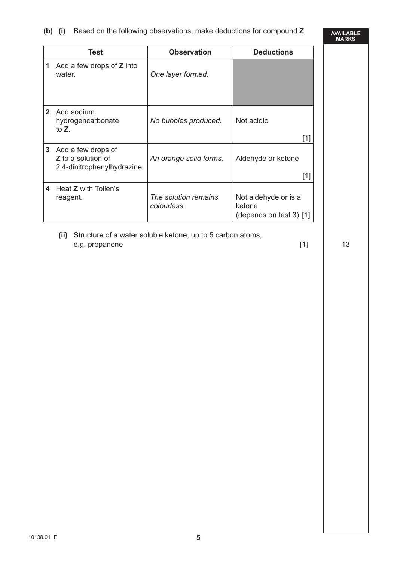#### **(b) (i)** Based on the following observations, make deductions for compound **Z**.

**AVAILABLE MARKS**

|                 | Test                                                                           | <b>Observation</b>                  | <b>Deductions</b>                                           |
|-----------------|--------------------------------------------------------------------------------|-------------------------------------|-------------------------------------------------------------|
| 1               | Add a few drops of <b>Z</b> into<br>water.                                     | One layer formed.                   |                                                             |
| $\mathbf{2}$    | Add sodium<br>hydrogencarbonate<br>to $Z_{\cdot}$                              | No bubbles produced.                | Not acidic<br>[1]                                           |
| $3\phantom{.0}$ | Add a few drops of<br><b>Z</b> to a solution of<br>2,4-dinitrophenylhydrazine. | An orange solid forms.              | Aldehyde or ketone<br>[1]                                   |
| 4               | Heat <b>Z</b> with Tollen's<br>reagent.                                        | The solution remains<br>colourless. | Not aldehyde or is a<br>ketone<br>(depends on test 3) $[1]$ |

 **(ii)** Structure of a water soluble ketone, up to 5 carbon atoms, e.g. propanone  $[1]$  13